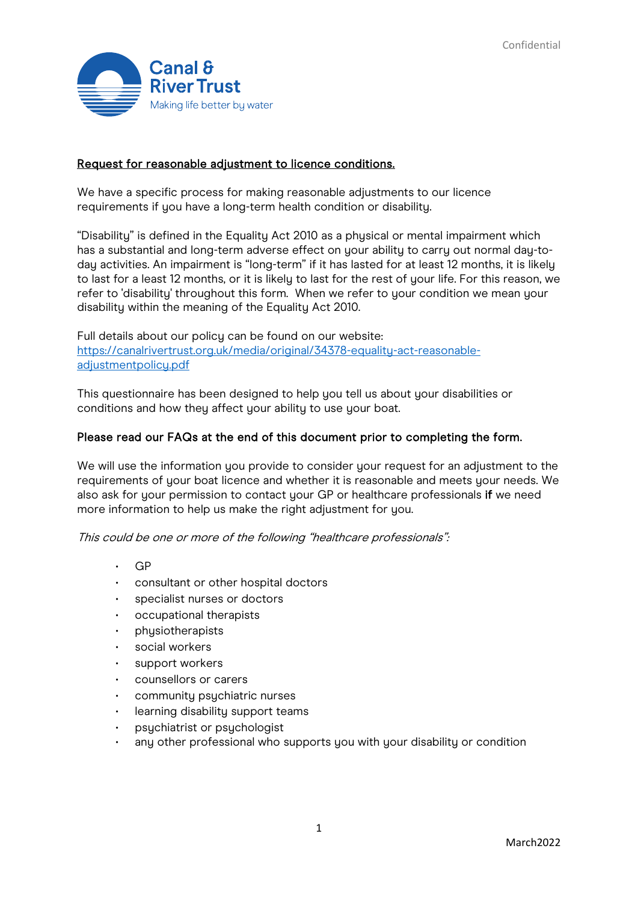

### Request for reasonable adjustment to licence conditions.

We have a specific process for making reasonable adjustments to our licence requirements if you have a long-term health condition or disability.

"Disability" is defined in the Equality Act 2010 as a physical or mental impairment which has a substantial and long-term adverse effect on your ability to carry out normal day-today activities. An impairment is "long-term" if it has lasted for at least 12 months, it is likely to last for a least 12 months, or it is likely to last for the rest of your life. For this reason, we refer to 'disability' throughout this form. When we refer to your condition we mean your disability within the meaning of the Equality Act 2010.

Full details about our policy can be found on our website: [https://canalrivertrust.org.uk/media/original/34378-equality-act-reasonable](https://canalrivertrust.org.uk/media/original/34378-equality-act-reasonable-adjustmentpolicy.pdf)[adjustmentpolicy.pdf](https://canalrivertrust.org.uk/media/original/34378-equality-act-reasonable-adjustmentpolicy.pdf)

This questionnaire has been designed to help you tell us about your disabilities or conditions and how they affect your ability to use your boat.

#### Please read our FAQs at the end of this document prior to completing the form.

We will use the information you provide to consider your request for an adjustment to the requirements of your boat licence and whether it is reasonable and meets your needs. We also ask for your permission to contact your GP or healthcare professionals if we need more information to help us make the right adjustment for you.

This could be one or more of the following "healthcare professionals":

- GP
- consultant or other hospital doctors
- specialist nurses or doctors
- occupational therapists
- physiotherapists
- social workers
- support workers
- counsellors or carers
- community psychiatric nurses
- learning disability support teams
- psychiatrist or psychologist
- any other professional who supports you with your disability or condition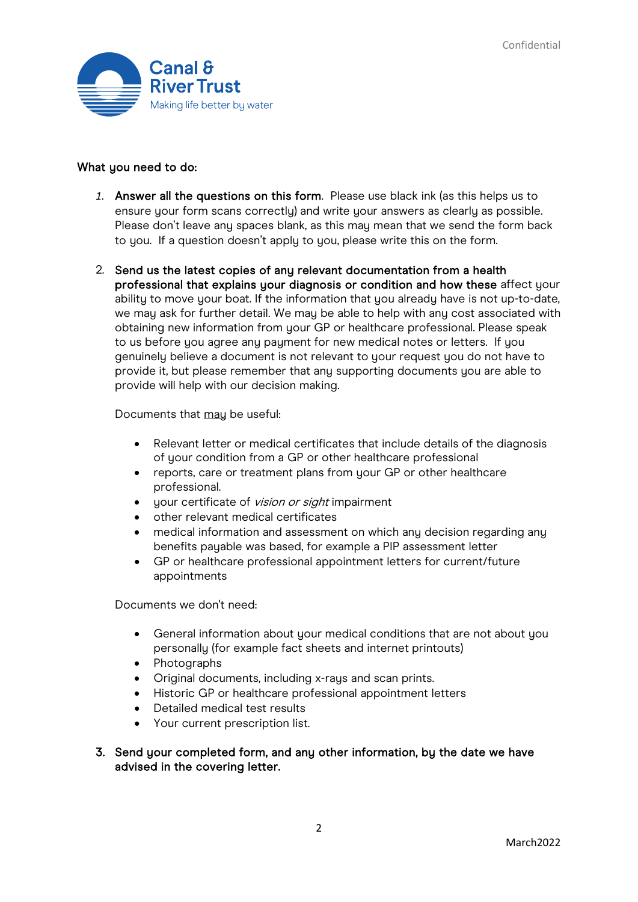

#### What you need to do:

- *1.* Answer all the questions on this form. Please use black ink (as this helps us to ensure your form scans correctly) and write your answers as clearly as possible. Please don't leave any spaces blank, as this may mean that we send the form back to you. If a question doesn't apply to you, please write this on the form.
- 2. Send us the latest copies of any relevant documentation from a health professional that explains your diagnosis or condition and how these affect your ability to move your boat. If the information that you already have is not up-to-date, we may ask for further detail. We may be able to help with any cost associated with obtaining new information from your GP or healthcare professional. Please speak to us before you agree any payment for new medical notes or letters. If you genuinely believe a document is not relevant to your request you do not have to provide it, but please remember that any supporting documents you are able to provide will help with our decision making.

Documents that may be useful:

- Relevant letter or medical certificates that include details of the diagnosis of your condition from a GP or other healthcare professional
- reports, care or treatment plans from your GP or other healthcare professional.
- your certificate of *vision or sight* impairment
- other relevant medical certificates
- medical information and assessment on which any decision regarding any benefits payable was based, for example a PIP assessment letter
- GP or healthcare professional appointment letters for current/future appointments

Documents we don't need:

- General information about your medical conditions that are not about you personally (for example fact sheets and internet printouts)
- Photographs
- Original documents, including x-rays and scan prints.
- Historic GP or healthcare professional appointment letters
- Detailed medical test results
- Your current prescription list.
- 3. Send your completed form, and any other information, by the date we have advised in the covering letter.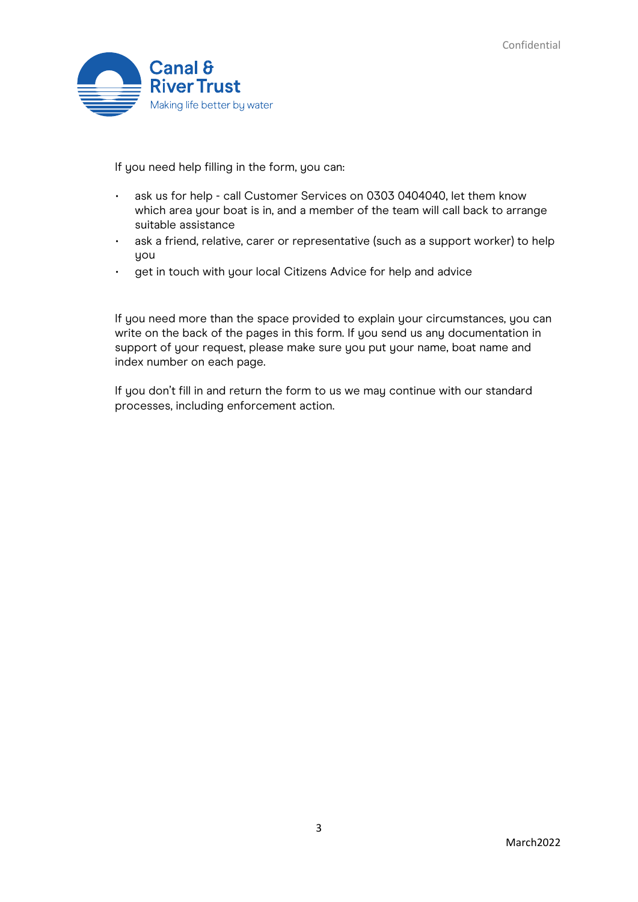

If you need help filling in the form, you can:

- ask us for help call Customer Services on 0303 0404040, let them know which area your boat is in, and a member of the team will call back to arrange suitable assistance
- ask a friend, relative, carer or representative (such as a support worker) to help you
- get in touch with your local Citizens Advice for help and advice

If you need more than the space provided to explain your circumstances, you can write on the back of the pages in this form. If you send us any documentation in support of your request, please make sure you put your name, boat name and index number on each page.

If you don't fill in and return the form to us we may continue with our standard processes, including enforcement action.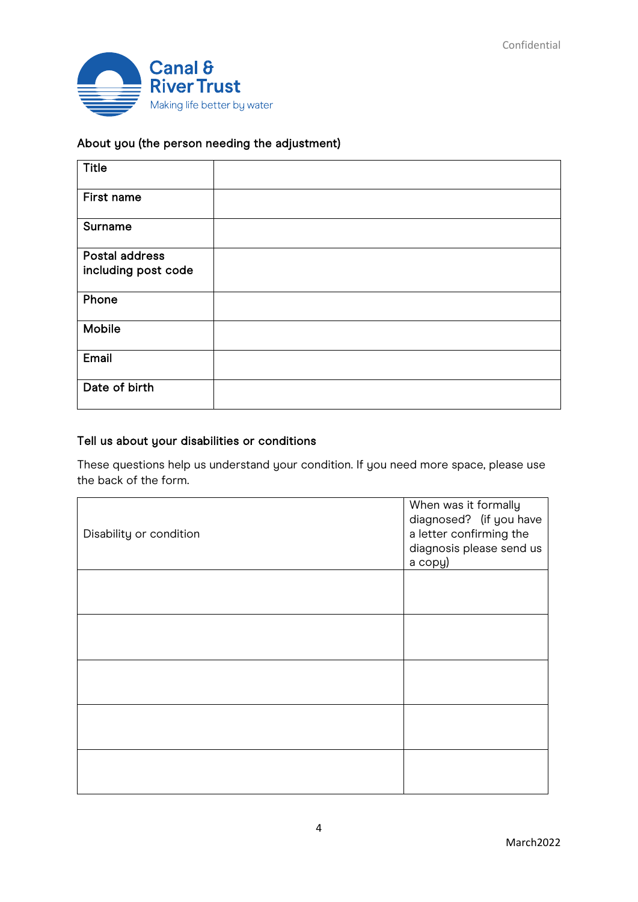

## About you (the person needing the adjustment)

| <b>Title</b>        |  |
|---------------------|--|
| First name          |  |
| Surname             |  |
| Postal address      |  |
| including post code |  |
| Phone               |  |
| Mobile              |  |
| Email               |  |
| Date of birth       |  |

## Tell us about your disabilities or conditions

These questions help us understand your condition. If you need more space, please use the back of the form.

| Disability or condition | When was it formally<br>diagnosed? (if you have<br>a letter confirming the<br>diagnosis please send us<br>a copy) |
|-------------------------|-------------------------------------------------------------------------------------------------------------------|
|                         |                                                                                                                   |
|                         |                                                                                                                   |
|                         |                                                                                                                   |
|                         |                                                                                                                   |
|                         |                                                                                                                   |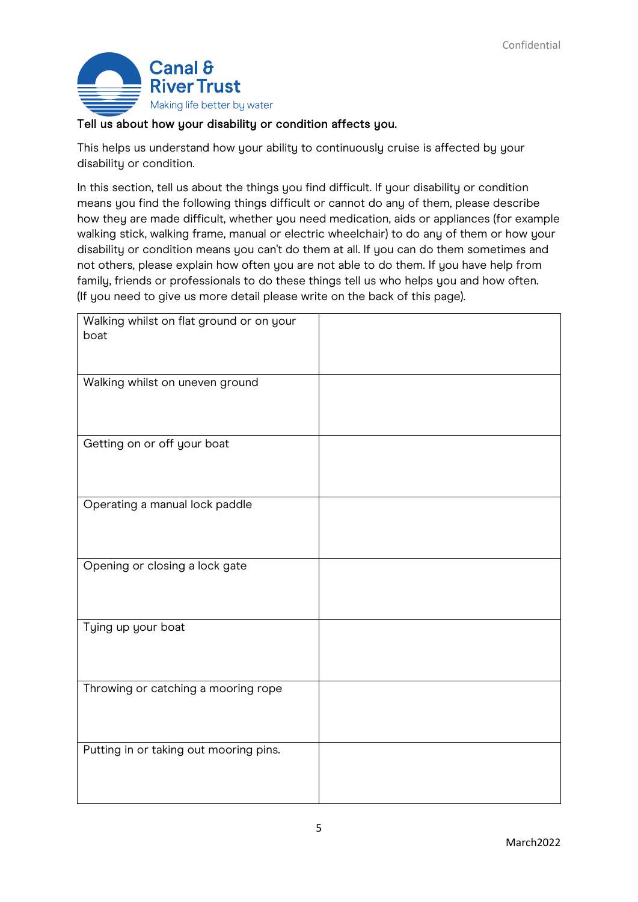

## Tell us about how your disability or condition affects you.

This helps us understand how your ability to continuously cruise is affected by your disability or condition.

In this section, tell us about the things you find difficult. If your disability or condition means you find the following things difficult or cannot do any of them, please describe how they are made difficult, whether you need medication, aids or appliances (for example walking stick, walking frame, manual or electric wheelchair) to do any of them or how your disability or condition means you can't do them at all. If you can do them sometimes and not others, please explain how often you are not able to do them. If you have help from family, friends or professionals to do these things tell us who helps you and how often. (If you need to give us more detail please write on the back of this page).

| Walking whilst on flat ground or on your<br>boat |  |
|--------------------------------------------------|--|
|                                                  |  |
|                                                  |  |
| Walking whilst on uneven ground                  |  |
|                                                  |  |
|                                                  |  |
| Getting on or off your boat                      |  |
|                                                  |  |
|                                                  |  |
| Operating a manual lock paddle                   |  |
|                                                  |  |
|                                                  |  |
| Opening or closing a lock gate                   |  |
|                                                  |  |
|                                                  |  |
| Tying up your boat                               |  |
|                                                  |  |
|                                                  |  |
| Throwing or catching a mooring rope              |  |
|                                                  |  |
|                                                  |  |
| Putting in or taking out mooring pins.           |  |
|                                                  |  |
|                                                  |  |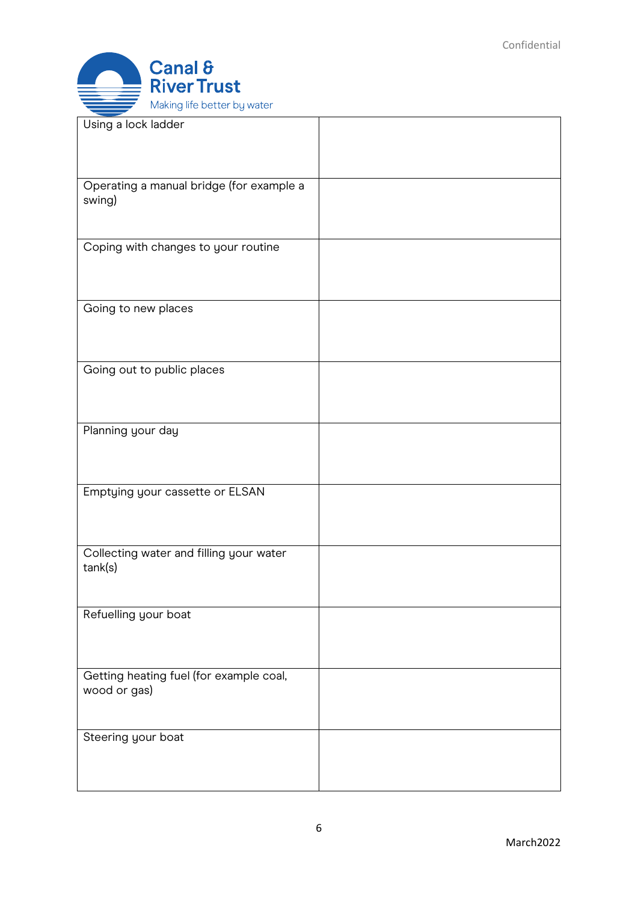

| Using a lock ladder                                     |  |
|---------------------------------------------------------|--|
| Operating a manual bridge (for example a<br>swing)      |  |
| Coping with changes to your routine                     |  |
| Going to new places                                     |  |
| Going out to public places                              |  |
| Planning your day                                       |  |
| Emptying your cassette or ELSAN                         |  |
| Collecting water and filling your water<br>tank(s)      |  |
| Refuelling your boat                                    |  |
| Getting heating fuel (for example coal,<br>wood or gas) |  |
| Steering your boat                                      |  |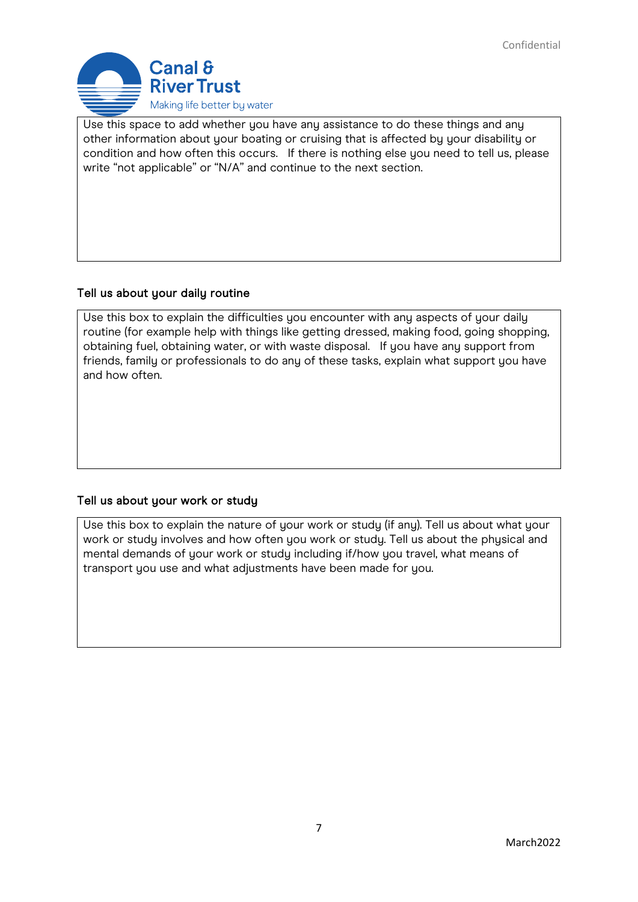

Use this space to add whether you have any assistance to do these things and any other information about your boating or cruising that is affected by your disability or condition and how often this occurs. If there is nothing else you need to tell us, please write "not applicable" or "N/A" and continue to the next section.

## Tell us about your daily routine

Use this box to explain the difficulties you encounter with any aspects of your daily routine (for example help with things like getting dressed, making food, going shopping, obtaining fuel, obtaining water, or with waste disposal. If you have any support from friends, family or professionals to do any of these tasks, explain what support you have and how often.

## Tell us about your work or study

Use this box to explain the nature of your work or study (if any). Tell us about what your work or study involves and how often you work or study. Tell us about the physical and mental demands of your work or study including if/how you travel, what means of transport you use and what adjustments have been made for you.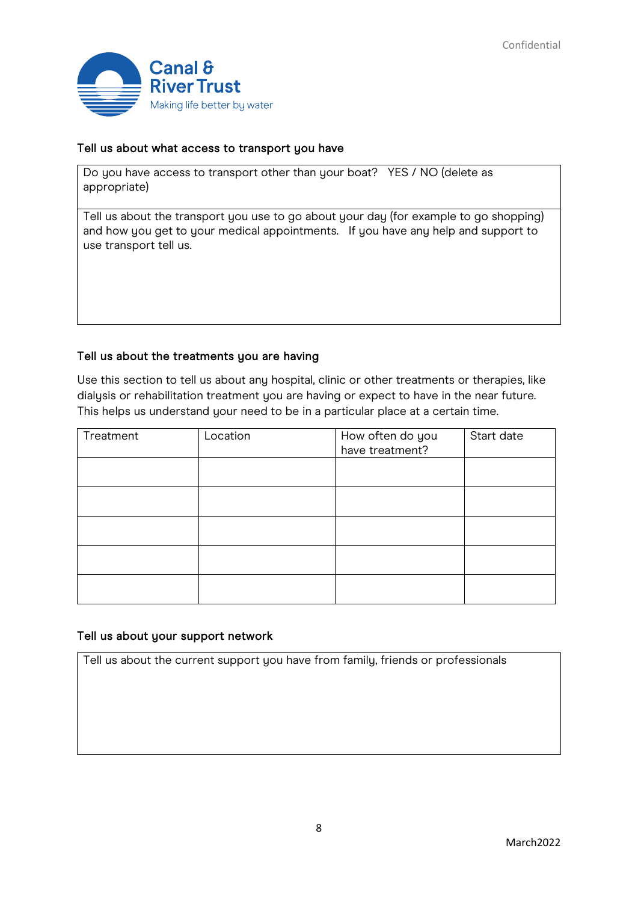

### Tell us about what access to transport you have

Do you have access to transport other than your boat? YES / NO (delete as appropriate)

Tell us about the transport you use to go about your day (for example to go shopping) and how you get to your medical appointments. If you have any help and support to use transport tell us.

#### Tell us about the treatments you are having

Use this section to tell us about any hospital, clinic or other treatments or therapies, like dialysis or rehabilitation treatment you are having or expect to have in the near future. This helps us understand your need to be in a particular place at a certain time.

| Treatment | Location | How often do you<br>have treatment? | Start date |
|-----------|----------|-------------------------------------|------------|
|           |          |                                     |            |
|           |          |                                     |            |
|           |          |                                     |            |
|           |          |                                     |            |
|           |          |                                     |            |

#### Tell us about your support network

Tell us about the current support you have from family, friends or professionals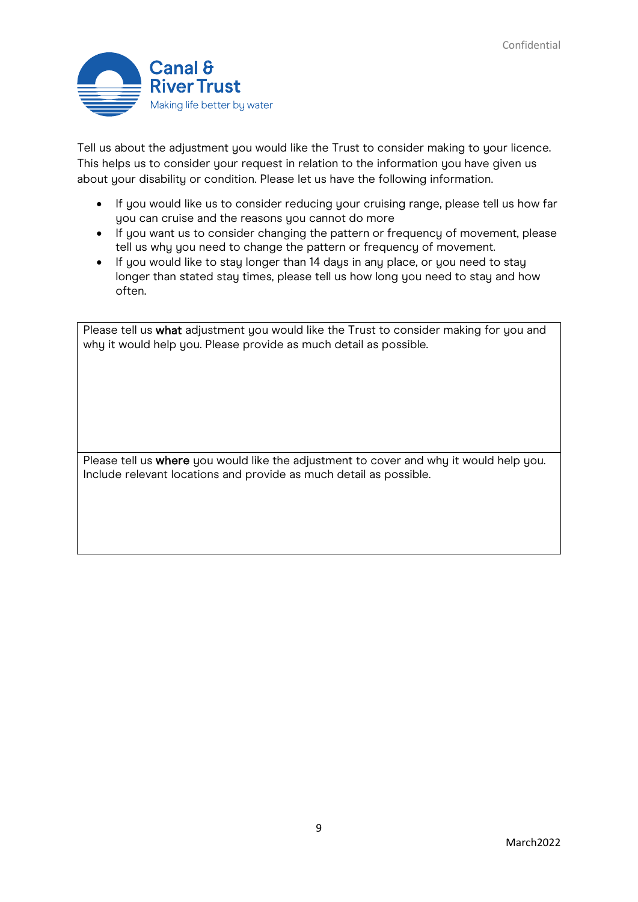

Tell us about the adjustment you would like the Trust to consider making to your licence. This helps us to consider your request in relation to the information you have given us about your disability or condition. Please let us have the following information.

- If you would like us to consider reducing your cruising range, please tell us how far you can cruise and the reasons you cannot do more
- If you want us to consider changing the pattern or frequency of movement, please tell us why you need to change the pattern or frequency of movement.
- If you would like to stay longer than 14 days in any place, or you need to stay longer than stated stay times, please tell us how long you need to stay and how often.

Please tell us what adjustment you would like the Trust to consider making for you and why it would help you. Please provide as much detail as possible.

Please tell us where you would like the adjustment to cover and why it would help you. Include relevant locations and provide as much detail as possible.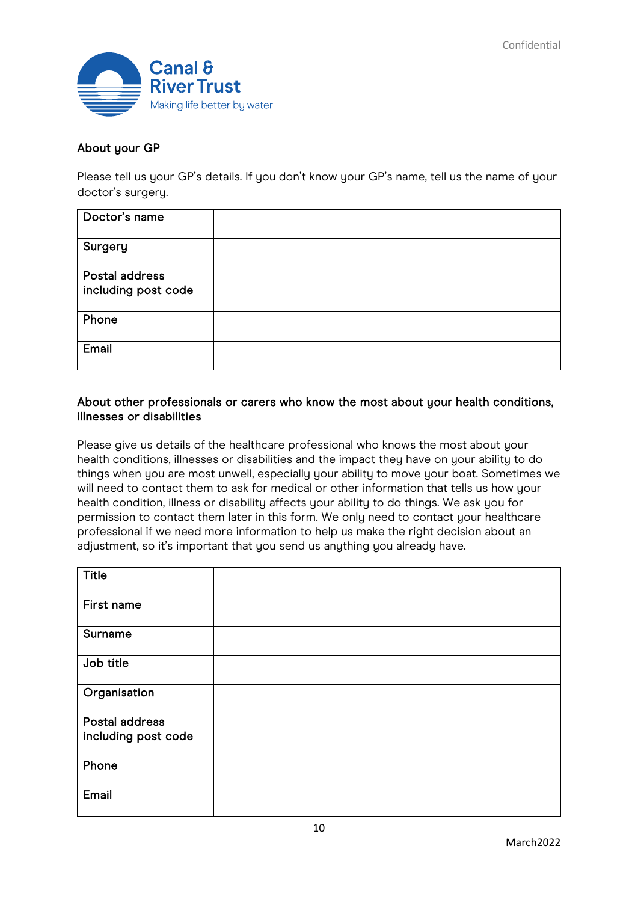

### About your GP

Please tell us your GP's details. If you don't know your GP's name, tell us the name of your doctor's surgery.

| Doctor's name                         |  |
|---------------------------------------|--|
| Surgery                               |  |
| Postal address<br>including post code |  |
| Phone                                 |  |
| Email                                 |  |

### About other professionals or carers who know the most about your health conditions, illnesses or disabilities

Please give us details of the healthcare professional who knows the most about your health conditions, illnesses or disabilities and the impact they have on your ability to do things when you are most unwell, especially your ability to move your boat. Sometimes we will need to contact them to ask for medical or other information that tells us how your health condition, illness or disability affects your ability to do things. We ask you for permission to contact them later in this form. We only need to contact your healthcare professional if we need more information to help us make the right decision about an adjustment, so it's important that you send us anything you already have.

| <b>Title</b>        |  |
|---------------------|--|
| First name          |  |
| Surname             |  |
| Job title           |  |
| Organisation        |  |
| Postal address      |  |
|                     |  |
| including post code |  |
| Phone               |  |
| Email               |  |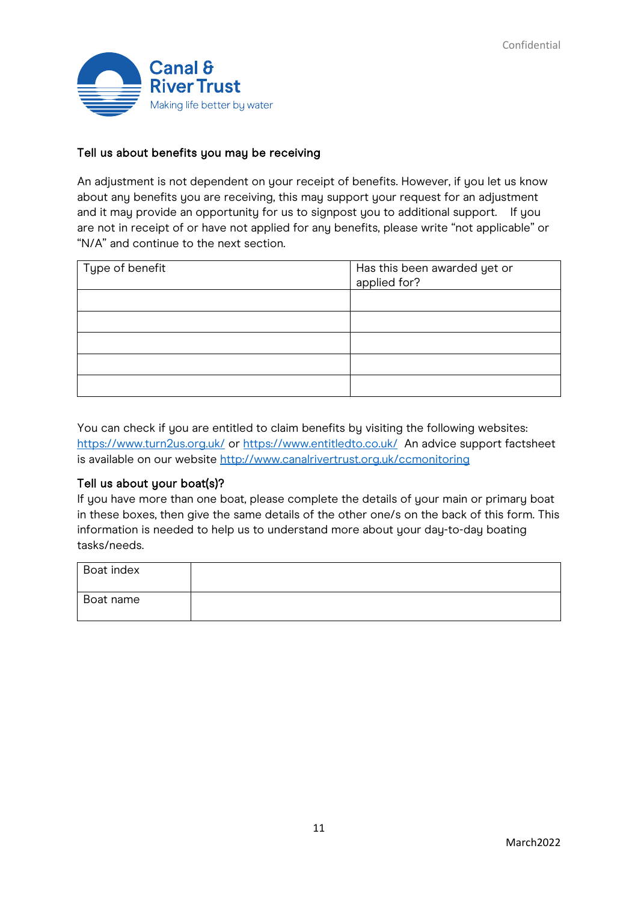

### Tell us about benefits you may be receiving

An adjustment is not dependent on your receipt of benefits. However, if you let us know about any benefits you are receiving, this may support your request for an adjustment and it may provide an opportunity for us to signpost you to additional support. If you are not in receipt of or have not applied for any benefits, please write "not applicable" or "N/A" and continue to the next section.

| Type of benefit | Has this been awarded yet or<br>applied for? |
|-----------------|----------------------------------------------|
|                 |                                              |
|                 |                                              |
|                 |                                              |
|                 |                                              |
|                 |                                              |

You can check if you are entitled to claim benefits by visiting the following websites: <https://www.turn2us.org.uk/> or<https://www.entitledto.co.uk/>An advice support factsheet is available on our website<http://www.canalrivertrust.org.uk/ccmonitoring>

#### Tell us about your boat(s)?

If you have more than one boat, please complete the details of your main or primary boat in these boxes, then give the same details of the other one/s on the back of this form. This information is needed to help us to understand more about your day-to-day boating tasks/needs.

| Boat index |  |
|------------|--|
| Boat name  |  |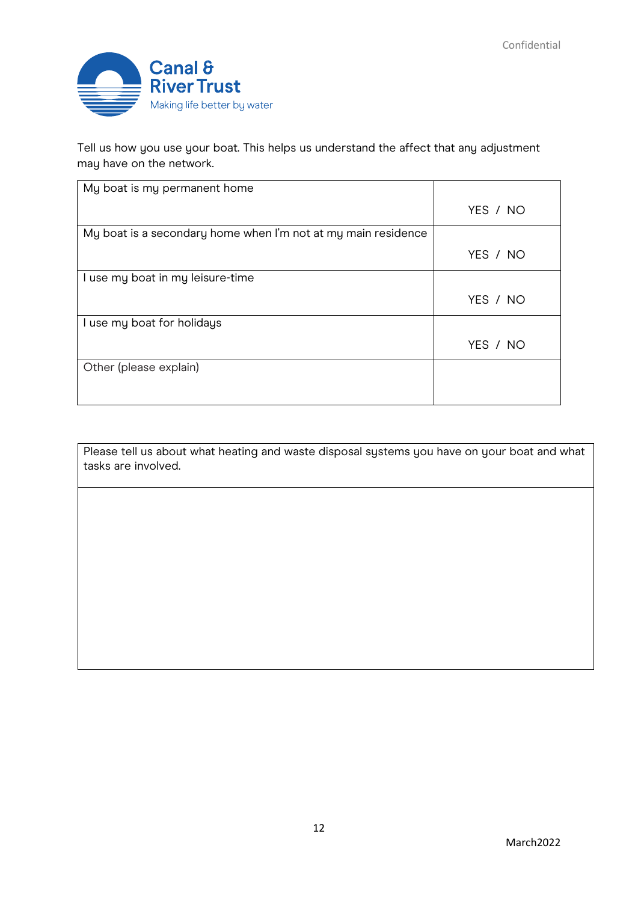

Tell us how you use your boat. This helps us understand the affect that any adjustment may have on the network.

| My boat is my permanent home                                  |          |
|---------------------------------------------------------------|----------|
|                                                               | YES / NO |
| My boat is a secondary home when I'm not at my main residence |          |
|                                                               | YES / NO |
| I use my boat in my leisure-time                              |          |
|                                                               | YES / NO |
| I use my boat for holidays                                    |          |
|                                                               | YES / NO |
| Other (please explain)                                        |          |
|                                                               |          |

Please tell us about what heating and waste disposal systems you have on your boat and what tasks are involved.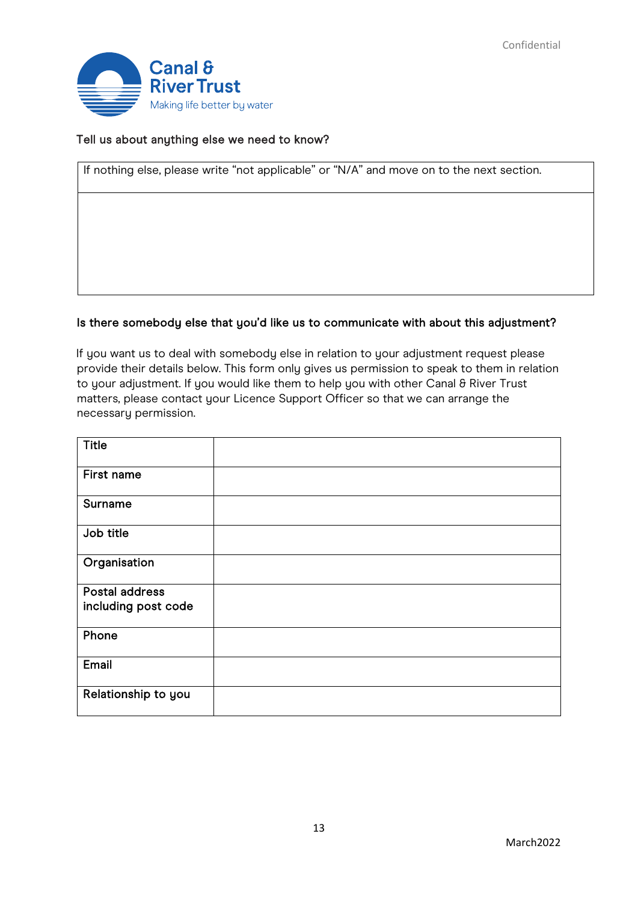

### Tell us about anything else we need to know?

If nothing else, please write "not applicable" or "N/A" and move on to the next section.

#### Is there somebody else that you'd like us to communicate with about this adjustment?

If you want us to deal with somebody else in relation to your adjustment request please provide their details below. This form only gives us permission to speak to them in relation to your adjustment. If you would like them to help you with other Canal & River Trust matters, please contact your Licence Support Officer so that we can arrange the necessary permission.

| <b>Title</b>        |  |
|---------------------|--|
| First name          |  |
| Surname             |  |
| Job title           |  |
| Organisation        |  |
| Postal address      |  |
| including post code |  |
| Phone               |  |
| Email               |  |
| Relationship to you |  |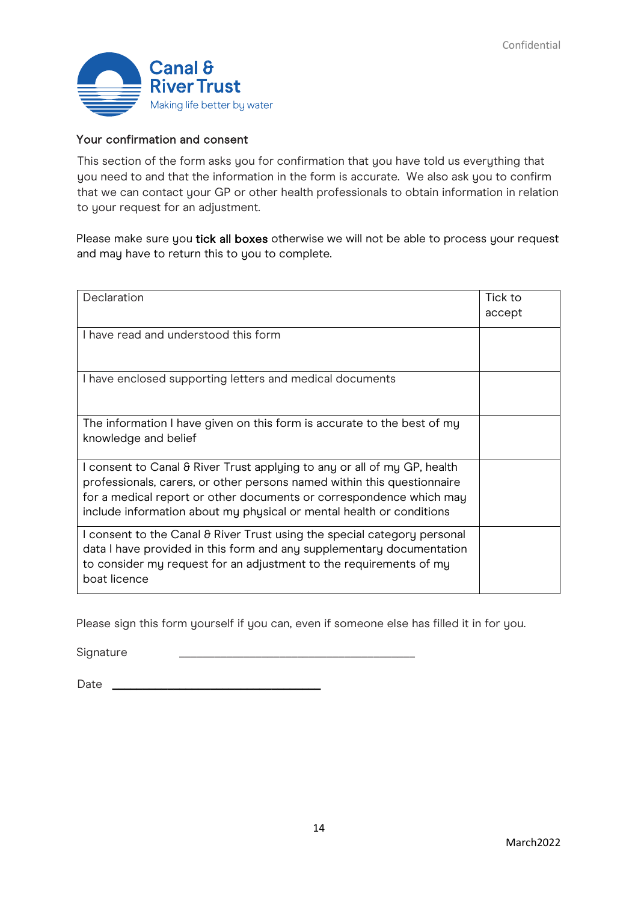

### Your confirmation and consent

This section of the form asks you for confirmation that you have told us everything that you need to and that the information in the form is accurate. We also ask you to confirm that we can contact your GP or other health professionals to obtain information in relation to your request for an adjustment.

Please make sure you tick all boxes otherwise we will not be able to process your request and may have to return this to you to complete.

| Declaration                                                                                                                                                                                                                                                                                        | Tick to<br>accept |
|----------------------------------------------------------------------------------------------------------------------------------------------------------------------------------------------------------------------------------------------------------------------------------------------------|-------------------|
| I have read and understood this form                                                                                                                                                                                                                                                               |                   |
| I have enclosed supporting letters and medical documents                                                                                                                                                                                                                                           |                   |
| The information I have given on this form is accurate to the best of my<br>knowledge and belief                                                                                                                                                                                                    |                   |
| I consent to Canal & River Trust applying to any or all of my GP, health<br>professionals, carers, or other persons named within this questionnaire<br>for a medical report or other documents or correspondence which may<br>include information about my physical or mental health or conditions |                   |
| I consent to the Canal & River Trust using the special category personal<br>data I have provided in this form and any supplementary documentation<br>to consider my request for an adjustment to the requirements of my<br>boat licence                                                            |                   |

Please sign this form yourself if you can, even if someone else has filled it in for you.

Signature

Date \_\_\_\_\_\_\_\_\_\_\_\_\_\_\_\_\_\_\_\_\_\_\_\_\_\_\_\_\_\_\_\_\_\_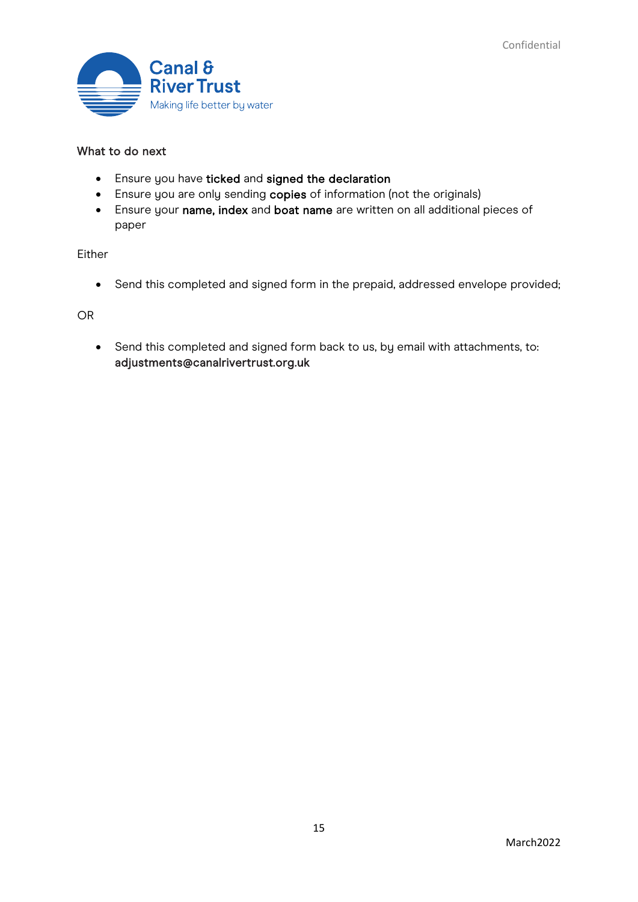

## What to do next

- Ensure you have ticked and signed the declaration
- Ensure you are only sending copies of information (not the originals)
- Ensure your name, index and boat name are written on all additional pieces of paper

Either

• Send this completed and signed form in the prepaid, addressed envelope provided;

OR

• Send this completed and signed form back to us, by email with attachments, to: adjustments@canalrivertrust.org.uk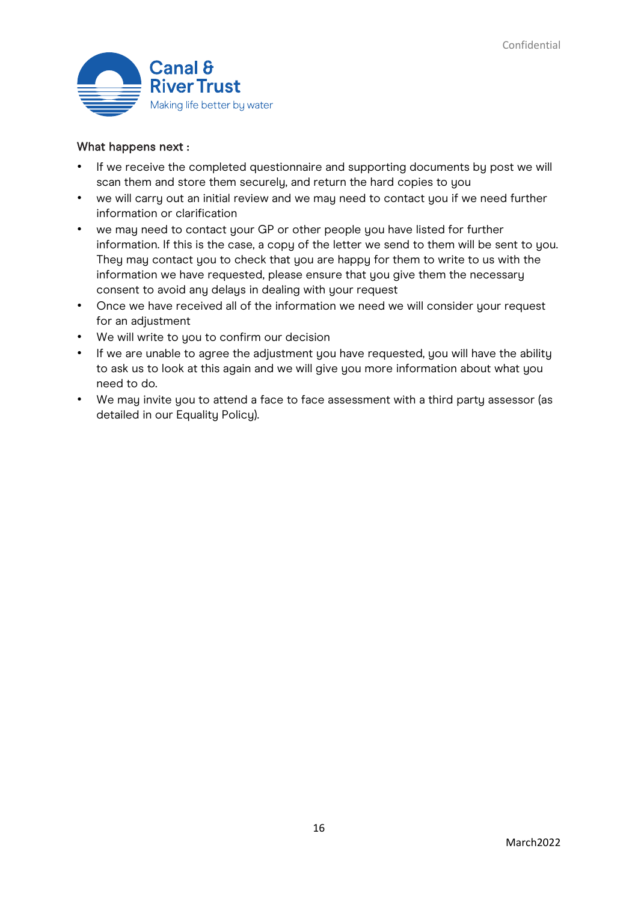

### What happens next :

- If we receive the completed questionnaire and supporting documents by post we will scan them and store them securely, and return the hard copies to you
- we will carry out an initial review and we may need to contact you if we need further information or clarification
- we may need to contact your GP or other people you have listed for further information. If this is the case, a copy of the letter we send to them will be sent to you. They may contact you to check that you are happy for them to write to us with the information we have requested, please ensure that you give them the necessary consent to avoid any delays in dealing with your request
- Once we have received all of the information we need we will consider your request for an adjustment
- We will write to you to confirm our decision
- If we are unable to agree the adjustment you have requested, you will have the ability to ask us to look at this again and we will give you more information about what you need to do.
- We may invite you to attend a face to face assessment with a third party assessor (as detailed in our Equality Policy).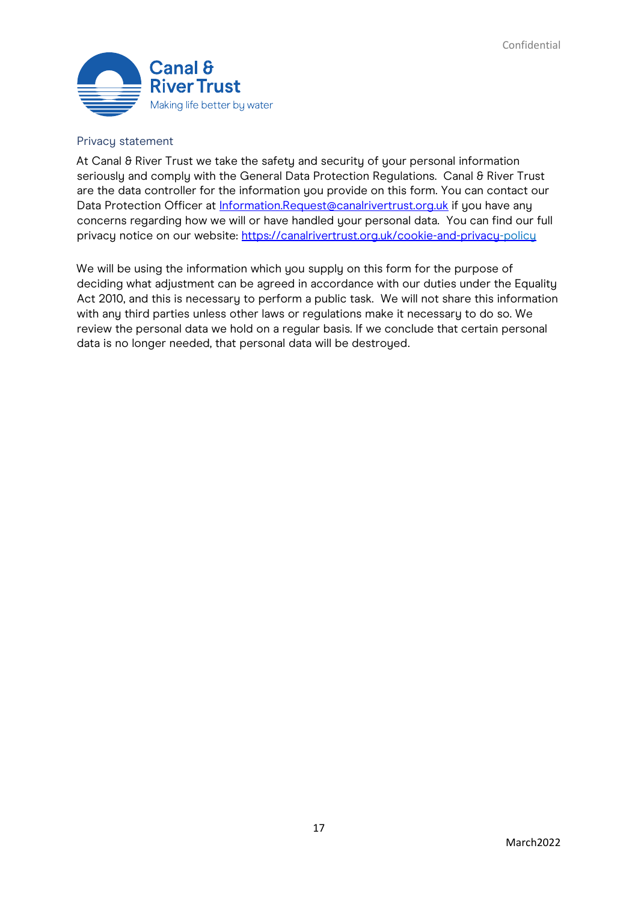

#### Privacy statement

At Canal & River Trust we take the safety and security of your personal information seriously and comply with the General Data Protection Regulations. Canal 8 River Trust are the data controller for the information you provide on this form. You can contact our Data Protection Officer at Information.Request@canalrivertrust.org.uk if you have any concerns regarding how we will or have handled your personal data. You can find our full privacy notice on our website:<https://canalrivertrust.org.uk/cookie-and-privacy-policy>

We will be using the information which you supply on this form for the purpose of deciding what adjustment can be agreed in accordance with our duties under the Equality Act 2010, and this is necessary to perform a public task. We will not share this information with any third parties unless other laws or regulations make it necessary to do so. We review the personal data we hold on a regular basis. If we conclude that certain personal data is no longer needed, that personal data will be destroyed.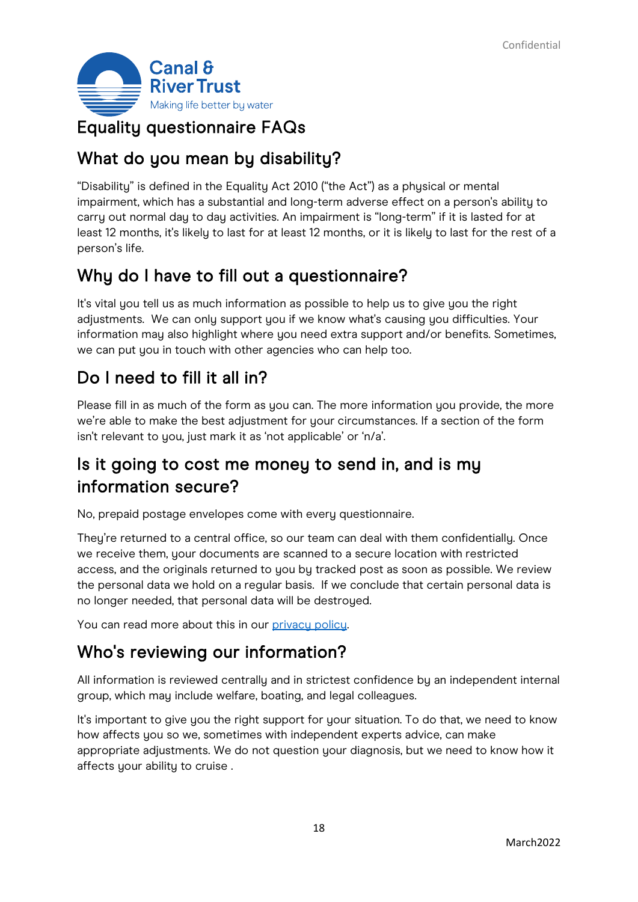

## Equality questionnaire FAQs

## What do you mean by disability?

"Disability" is defined in the Equality Act 2010 ("the Act") as a physical or mental impairment, which has a substantial and long-term adverse effect on a person's ability to carry out normal day to day activities. An impairment is "long-term" if it is lasted for at least 12 months, it's likely to last for at least 12 months, or it is likely to last for the rest of a person's life.

# Why do I have to fill out a questionnaire?

It's vital you tell us as much information as possible to help us to give you the right adjustments. We can only support you if we know what's causing you difficulties. Your information may also highlight where you need extra support and/or benefits. Sometimes, we can put you in touch with other agencies who can help too.

## Do I need to fill it all in?

Please fill in as much of the form as you can. The more information you provide, the more we're able to make the best adjustment for your circumstances. If a section of the form isn't relevant to you, just mark it as 'not applicable' or 'n/a'.

# Is it going to cost me money to send in, and is my information secure?

No, prepaid postage envelopes come with every questionnaire.

They're returned to a central office, so our team can deal with them confidentially. Once we receive them, your documents are scanned to a secure location with restricted access, and the originals returned to you by tracked post as soon as possible. We review the personal data we hold on a regular basis. If we conclude that certain personal data is no longer needed, that personal data will be destroyed.

You can read more about this in our [privacy policy.](https://gbr01.safelinks.protection.outlook.com/?url=https%3A%2F%2Fcanalrivertrust.org.uk%2Fcookie-and-privacy-policy&data=02%7C01%7CJane.Lee%40canalrivertrust.org.uk%7Cbe44147869e2488469de08d823491006%7C260db9039fba44d29d2654bed22e06b9%7C0%7C0%7C637298143989516062&sdata=xHOAtMYblB%2BQYOk5zkc4d6fB8lOZodjIsXVffjOxrNc%3D&reserved=0)

## Who's reviewing our information?

All information is reviewed centrally and in strictest confidence by an independent internal group, which may include welfare, boating, and legal colleagues.

It's important to give you the right support for your situation. To do that, we need to know how affects you so we, sometimes with independent experts advice, can make appropriate adjustments. We do not question your diagnosis, but we need to know how it affects your ability to cruise .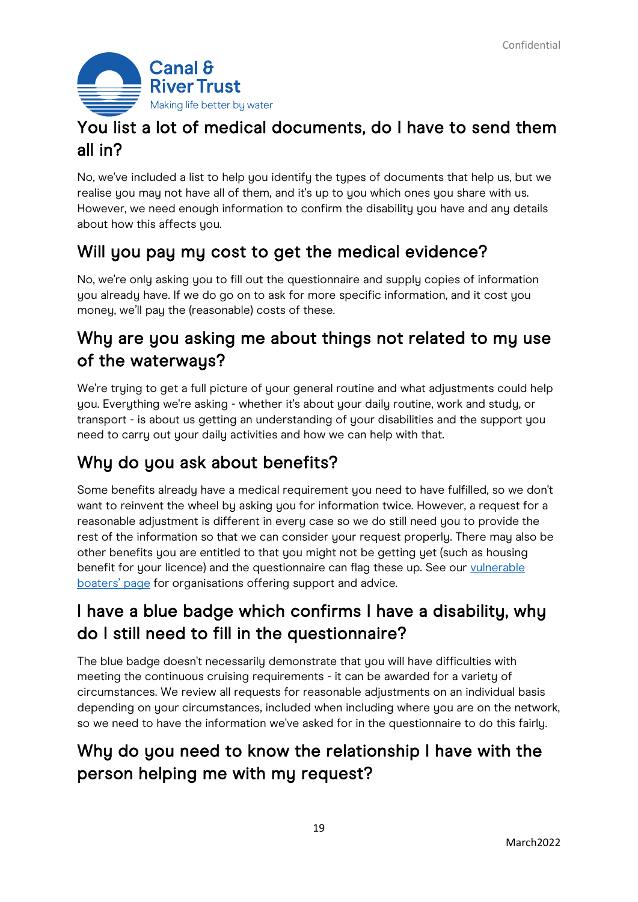

# You list a lot of medical documents, do I have to send them all in?

No, we've included a list to help you identify the types of documents that help us, but we realise you may not have all of them, and it's up to you which ones you share with us. However, we need enough information to confirm the disability you have and any details about how this affects you.

## Will you pay my cost to get the medical evidence?

No, we're only asking you to fill out the questionnaire and supply copies of information you already have. If we do go on to ask for more specific information, and it cost you money, we'll pay the (reasonable) costs of these.

# Why are you asking me about things not related to my use of the waterways?

We're trying to get a full picture of your general routine and what adjustments could help you. Everything we're asking - whether it's about your daily routine, work and study, or transport - is about us getting an understanding of your disabilities and the support you need to carry out your daily activities and how we can help with that.

# Why do you ask about benefits?

Some benefits already have a medical requirement you need to have fulfilled, so we don't want to reinvent the wheel by asking you for information twice. However, a request for a reasonable adjustment is different in every case so we do still need you to provide the rest of the information so that we can consider your request properly. There may also be other benefits you are entitled to that you might not be getting yet (such as housing benefit for your licence) and the questionnaire can flag these up. See our vulnerable [boaters' page](https://gbr01.safelinks.protection.outlook.com/?url=https%3A%2F%2Fcanalrivertrust.org.uk%2Fenjoy-the-waterways%2Fboating%2Fdo-you-know-a-vulnerable-boater&data=02%7C01%7CJane.Lee%40canalrivertrust.org.uk%7Cbe44147869e2488469de08d823491006%7C260db9039fba44d29d2654bed22e06b9%7C0%7C0%7C637298143989516062&sdata=IVcwuDdF6BhkCXHfklR66erogU%2FndnMEsflYQ%2BZrQfM%3D&reserved=0) for organisations offering support and advice.

# I have a blue badge which confirms I have a disability, why do I still need to fill in the questionnaire?

The blue badge doesn't necessarily demonstrate that you will have difficulties with meeting the continuous cruising requirements - it can be awarded for a variety of circumstances. We review all requests for reasonable adjustments on an individual basis depending on your circumstances, included when including where you are on the network, so we need to have the information we've asked for in the questionnaire to do this fairly.

# Why do you need to know the relationship I have with the person helping me with my request?